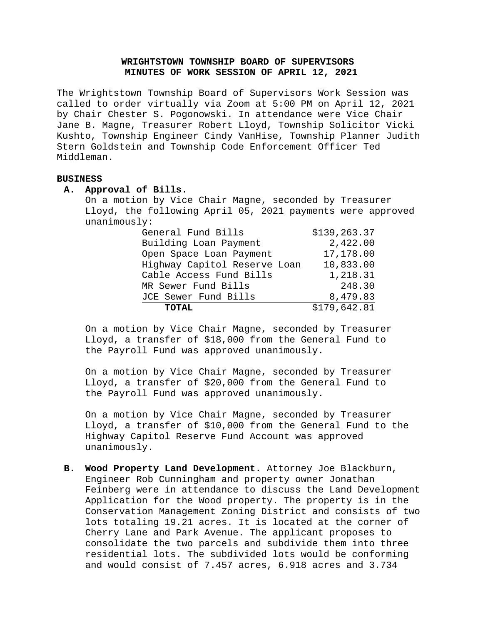## **WRIGHTSTOWN TOWNSHIP BOARD OF SUPERVISORS MINUTES OF WORK SESSION OF APRIL 12, 2021**

The Wrightstown Township Board of Supervisors Work Session was called to order virtually via Zoom at 5:00 PM on April 12, 2021 by Chair Chester S. Pogonowski. In attendance were Vice Chair Jane B. Magne, Treasurer Robert Lloyd, Township Solicitor Vicki Kushto, Township Engineer Cindy VanHise, Township Planner Judith Stern Goldstein and Township Code Enforcement Officer Ted Middleman.

## **BUSINESS**

## **A. Approval of Bills**.

On a motion by Vice Chair Magne, seconded by Treasurer Lloyd, the following April 05, 2021 payments were approved unanimously:

| General Fund Bills           | \$139, 263.37 |
|------------------------------|---------------|
| Building Loan Payment        | 2,422.00      |
| Open Space Loan Payment      | 17,178.00     |
| Highway Capitol Reserve Loan | 10,833.00     |
| Cable Access Fund Bills      | 1,218.31      |
| MR Sewer Fund Bills          | 248.30        |
| JCE Sewer Fund Bills         | 8,479.83      |
| <b>TOTAL</b>                 | \$179,642.81  |
|                              |               |

On a motion by Vice Chair Magne, seconded by Treasurer Lloyd, a transfer of \$18,000 from the General Fund to the Payroll Fund was approved unanimously.

On a motion by Vice Chair Magne, seconded by Treasurer Lloyd, a transfer of \$20,000 from the General Fund to the Payroll Fund was approved unanimously.

On a motion by Vice Chair Magne, seconded by Treasurer Lloyd, a transfer of \$10,000 from the General Fund to the Highway Capitol Reserve Fund Account was approved unanimously.

**B. Wood Property Land Development.** Attorney Joe Blackburn, Engineer Rob Cunningham and property owner Jonathan Feinberg were in attendance to discuss the Land Development Application for the Wood property. The property is in the Conservation Management Zoning District and consists of two lots totaling 19.21 acres. It is located at the corner of Cherry Lane and Park Avenue. The applicant proposes to consolidate the two parcels and subdivide them into three residential lots. The subdivided lots would be conforming and would consist of 7.457 acres, 6.918 acres and 3.734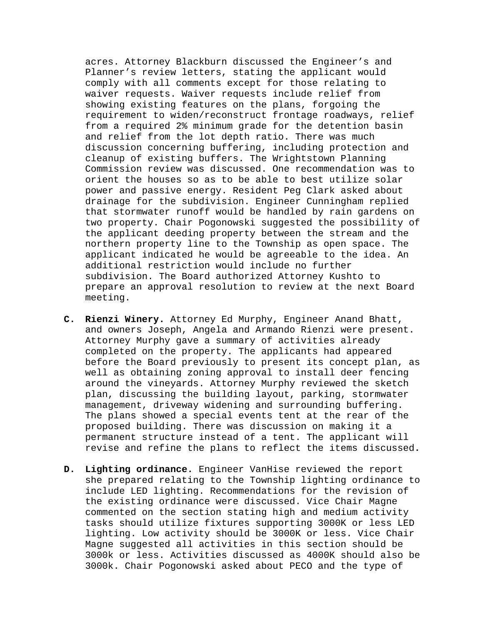acres. Attorney Blackburn discussed the Engineer's and Planner's review letters, stating the applicant would comply with all comments except for those relating to waiver requests. Waiver requests include relief from showing existing features on the plans, forgoing the requirement to widen/reconstruct frontage roadways, relief from a required 2% minimum grade for the detention basin and relief from the lot depth ratio. There was much discussion concerning buffering, including protection and cleanup of existing buffers. The Wrightstown Planning Commission review was discussed. One recommendation was to orient the houses so as to be able to best utilize solar power and passive energy. Resident Peg Clark asked about drainage for the subdivision. Engineer Cunningham replied that stormwater runoff would be handled by rain gardens on two property. Chair Pogonowski suggested the possibility of the applicant deeding property between the stream and the northern property line to the Township as open space. The applicant indicated he would be agreeable to the idea. An additional restriction would include no further subdivision. The Board authorized Attorney Kushto to prepare an approval resolution to review at the next Board meeting.

- **C. Rienzi Winery.** Attorney Ed Murphy, Engineer Anand Bhatt, and owners Joseph, Angela and Armando Rienzi were present. Attorney Murphy gave a summary of activities already completed on the property. The applicants had appeared before the Board previously to present its concept plan, as well as obtaining zoning approval to install deer fencing around the vineyards. Attorney Murphy reviewed the sketch plan, discussing the building layout, parking, stormwater management, driveway widening and surrounding buffering. The plans showed a special events tent at the rear of the proposed building. There was discussion on making it a permanent structure instead of a tent. The applicant will revise and refine the plans to reflect the items discussed**.**
- **D. Lighting ordinance.** Engineer VanHise reviewed the report she prepared relating to the Township lighting ordinance to include LED lighting. Recommendations for the revision of the existing ordinance were discussed. Vice Chair Magne commented on the section stating high and medium activity tasks should utilize fixtures supporting 3000K or less LED lighting. Low activity should be 3000K or less. Vice Chair Magne suggested all activities in this section should be 3000k or less. Activities discussed as 4000K should also be 3000k. Chair Pogonowski asked about PECO and the type of